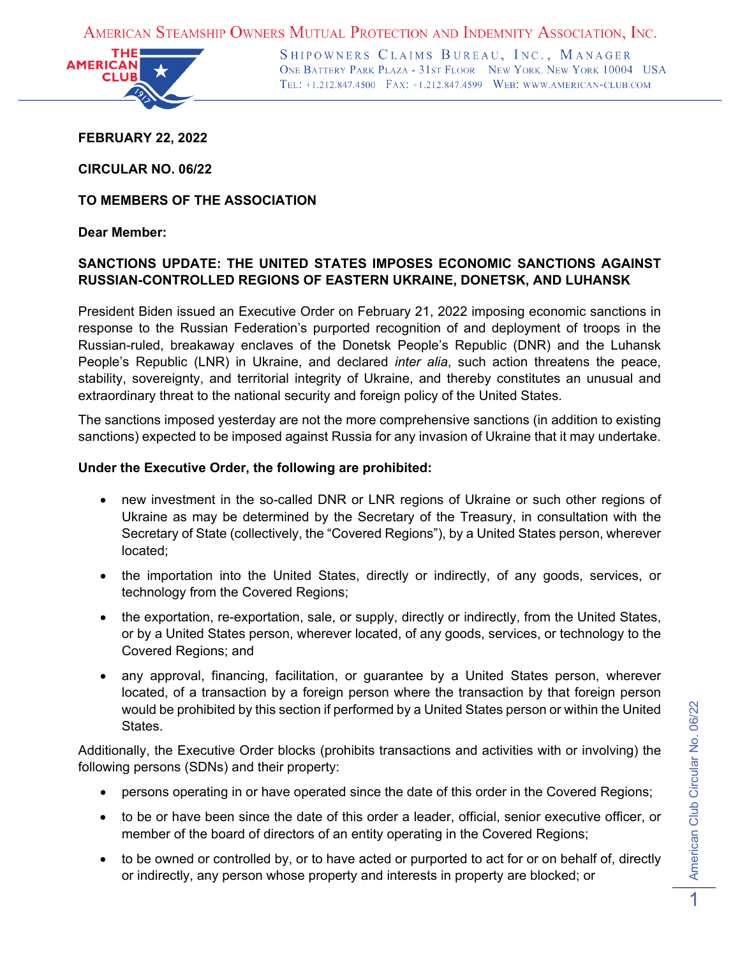AMERICAN STEAMSHIP OWNERS MUTUAL PROTECTION AND INDEMNITY ASSOCIATION, INC.



SHIPOWNERS CLAIMS BUREAU, INC., MANAGER ONE BATTERY PARK PLAZA - 31ST FLOOR NEW YORK, NEW YORK 10004 USA TEL: +1.212.847.4500 FAX: +1.212.847.4599 WEB: WWW.AMERICAN-CLUB.COM

**FEBRUARY 22, 2022**

**CIRCULAR NO. 06/22**

**TO MEMBERS OF THE ASSOCIATION**

## **Dear Member:**

# **SANCTIONS UPDATE: THE UNITED STATES IMPOSES ECONOMIC SANCTIONS AGAINST RUSSIAN-CONTROLLED REGIONS OF EASTERN UKRAINE, DONETSK, AND LUHANSK**

President Biden issued an Executive Order on February 21, 2022 imposing economic sanctions in response to the Russian Federation's purported recognition of and deployment of troops in the Russian-ruled, breakaway enclaves of the Donetsk People's Republic (DNR) and the Luhansk People's Republic (LNR) in Ukraine, and declared *inter alia*, such action threatens the peace, stability, sovereignty, and territorial integrity of Ukraine, and thereby constitutes an unusual and extraordinary threat to the national security and foreign policy of the United States.

The sanctions imposed yesterday are not the more comprehensive sanctions (in addition to existing sanctions) expected to be imposed against Russia for any invasion of Ukraine that it may undertake.

### **Under the Executive Order, the following are prohibited:**

- new investment in the so-called DNR or LNR regions of Ukraine or such other regions of Ukraine as may be determined by the Secretary of the Treasury, in consultation with the Secretary of State (collectively, the "Covered Regions"), by a United States person, wherever located;
- the importation into the United States, directly or indirectly, of any goods, services, or technology from the Covered Regions;
- the exportation, re-exportation, sale, or supply, directly or indirectly, from the United States, or by a United States person, wherever located, of any goods, services, or technology to the Covered Regions; and
- any approval, financing, facilitation, or guarantee by a United States person, wherever located, of a transaction by a foreign person where the transaction by that foreign person would be prohibited by this section if performed by a United States person or within the United States.

Additionally, the Executive Order blocks (prohibits transactions and activities with or involving) the following persons (SDNs) and their property:

- persons operating in or have operated since the date of this order in the Covered Regions;
- to be or have been since the date of this order a leader, official, senior executive officer, or member of the board of directors of an entity operating in the Covered Regions;
- to be owned or controlled by, or to have acted or purported to act for or on behalf of, directly or indirectly, any person whose property and interests in property are blocked; or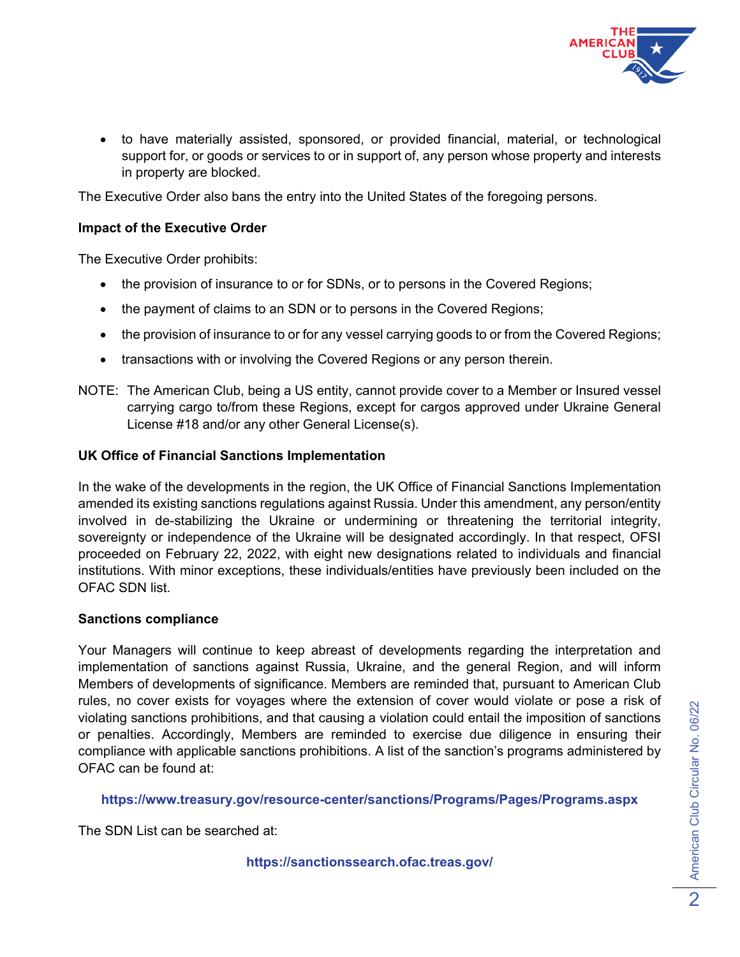

• to have materially assisted, sponsored, or provided financial, material, or technological support for, or goods or services to or in support of, any person whose property and interests in property are blocked.

The Executive Order also bans the entry into the United States of the foregoing persons.

## **Impact of the Executive Order**

The Executive Order prohibits:

- the provision of insurance to or for SDNs, or to persons in the Covered Regions;
- the payment of claims to an SDN or to persons in the Covered Regions;
- the provision of insurance to or for any vessel carrying goods to or from the Covered Regions;
- transactions with or involving the Covered Regions or any person therein.
- NOTE: The American Club, being a US entity, cannot provide cover to a Member or Insured vessel carrying cargo to/from these Regions, except for cargos approved under Ukraine General License #18 and/or any other General License(s).

#### **UK Office of Financial Sanctions Implementation**

In the wake of the developments in the region, the UK Office of Financial Sanctions Implementation amended its existing sanctions regulations against Russia. Under this amendment, any person/entity involved in de-stabilizing the Ukraine or undermining or threatening the territorial integrity, sovereignty or independence of the Ukraine will be designated accordingly. In that respect, OFSI proceeded on February 22, 2022, with eight new designations related to individuals and financial institutions. With minor exceptions, these individuals/entities have previously been included on the OFAC SDN list.

#### **Sanctions compliance**

Your Managers will continue to keep abreast of developments regarding the interpretation and implementation of sanctions against Russia, Ukraine, and the general Region, and will inform Members of developments of significance. Members are reminded that, pursuant to American Club rules, no cover exists for voyages where the extension of cover would violate or pose a risk of violating sanctions prohibitions, and that causing a violation could entail the imposition of sanctions or penalties. Accordingly, Members are reminded to exercise due diligence in ensuring their compliance with applicable sanctions prohibitions. A list of the sanction's programs administered by OFAC can be found at:

**<https://www.treasury.gov/resource-center/sanctions/Programs/Pages/Programs.aspx>**

The SDN List can be searched at:

**<https://sanctionssearch.ofac.treas.gov/>**